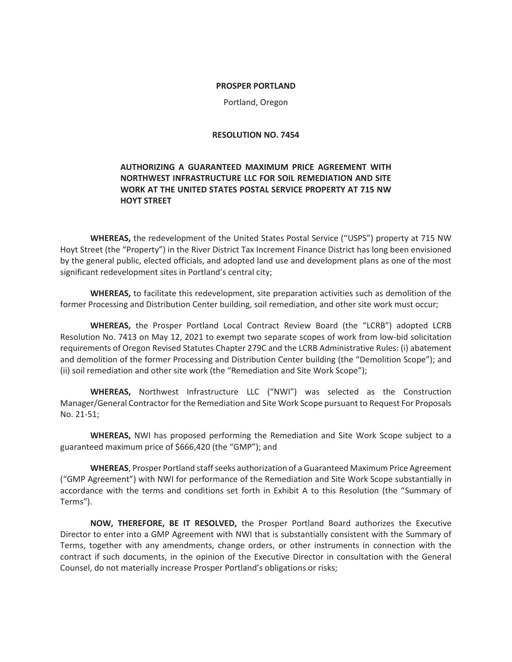#### **PROSPER PORTLAND**

Portland, Oregon

### **RESOLUTION NO. 7454**

## **AUTHORIZING A GUARANTEED MAXIMUM PRICE AGREEMENT WITH NORTHWEST INFRASTRUCTURE LLC FOR SOIL REMEDIATION AND SITE WORK AT THE UNITED STATES POSTAL SERVICE PROPERTY AT 715 NW HOYT STREET**

**WHEREAS,** the redevelopment of the United States Postal Service ("USPS") property at 715 NW Hoyt Street (the "Property") in the River District Tax Increment Finance District has long been envisioned by the general public, elected officials, and adopted land use and development plans as one of the most significant redevelopment sites in Portland's central city;

**WHEREAS,** to facilitate this redevelopment, site preparation activities such as demolition of the former Processing and Distribution Center building, soil remediation, and other site work must occur;

**WHEREAS,** the Prosper Portland Local Contract Review Board (the "LCRB") adopted LCRB Resolution No. 7413 on May 12, 2021 to exempt two separate scopes of work from low-bid solicitation requirements of Oregon Revised Statutes Chapter 279C and the LCRB Administrative Rules: (i) abatement and demolition of the former Processing and Distribution Center building (the "Demolition Scope"); and (ii) soil remediation and other site work (the "Remediation and Site Work Scope");

**WHEREAS,** Northwest Infrastructure LLC ("NWI") was selected as the Construction Manager/General Contractor for the Remediation and Site Work Scope pursuant to Request For Proposals No. 21-51;

**WHEREAS,** NWI has proposed performing the Remediation and Site Work Scope subject to a guaranteed maximum price of \$666,420 (the "GMP"); and

**WHEREAS**, Prosper Portland staff seeks authorization of a Guaranteed Maximum Price Agreement ("GMP Agreement") with NWI for performance of the Remediation and Site Work Scope substantially in accordance with the terms and conditions set forth in Exhibit A to this Resolution (the "Summary of Terms").

**NOW, THEREFORE, BE IT RESOLVED,** the Prosper Portland Board authorizes the Executive Director to enter into a GMP Agreement with NWI that is substantially consistent with the Summary of Terms, together with any amendments, change orders, or other instruments in connection with the contract if such documents, in the opinion of the Executive Director in consultation with the General Counsel, do not materially increase Prosper Portland's obligations or risks;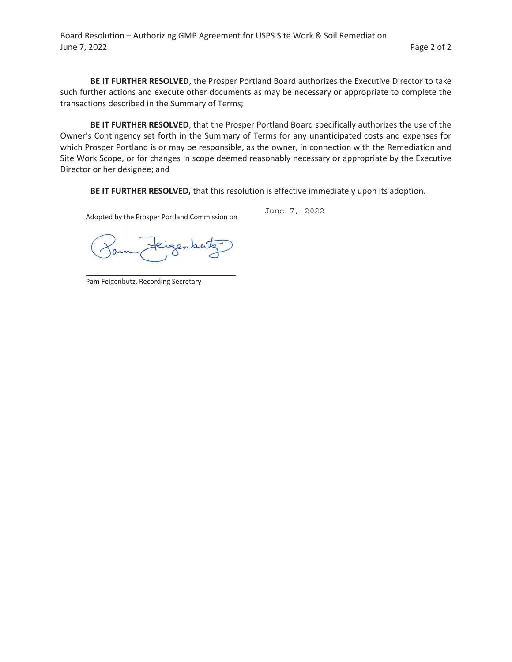Board Resolution – Authorizing GMP Agreement for USPS Site Work & Soil Remediation June 7, 2022 **Page 2 of 2** 

**BE IT FURTHER RESOLVED**, the Prosper Portland Board authorizes the Executive Director to take such further actions and execute other documents as may be necessary or appropriate to complete the transactions described in the Summary of Terms;

**BE IT FURTHER RESOLVED**, that the Prosper Portland Board specifically authorizes the use of the Owner's Contingency set forth in the Summary of Terms for any unanticipated costs and expenses for which Prosper Portland is or may be responsible, as the owner, in connection with the Remediation and Site Work Scope, or for changes in scope deemed reasonably necessary or appropriate by the Executive Director or her designee; and

**BE IT FURTHER RESOLVED,** that this resolution is effective immediately upon its adoption.

Adopted by the Prosper Portland Commission on

June 7, 2022

igense

Pam Feigenbutz, Recording Secretary

 $\overline{\phantom{0}}$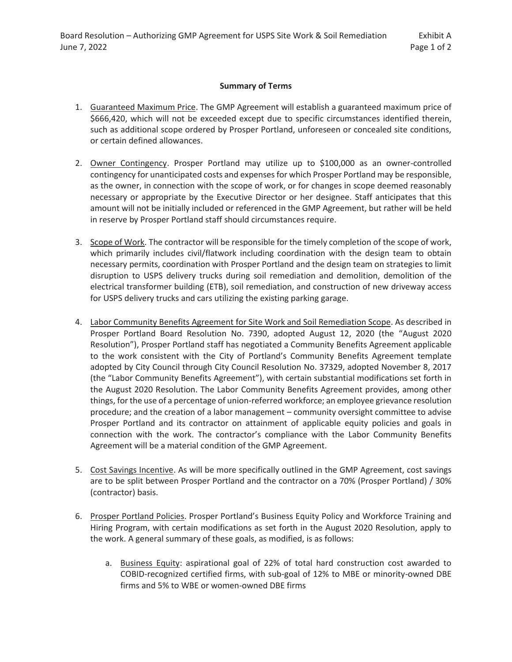### **Summary of Terms**

- 1. Guaranteed Maximum Price. The GMP Agreement will establish a guaranteed maximum price of \$666,420, which will not be exceeded except due to specific circumstances identified therein, such as additional scope ordered by Prosper Portland, unforeseen or concealed site conditions, or certain defined allowances.
- 2. Owner Contingency. Prosper Portland may utilize up to \$100,000 as an owner-controlled contingency for unanticipated costs and expenses for which Prosper Portland may be responsible, as the owner, in connection with the scope of work, or for changes in scope deemed reasonably necessary or appropriate by the Executive Director or her designee. Staff anticipates that this amount will not be initially included or referenced in the GMP Agreement, but rather will be held in reserve by Prosper Portland staff should circumstances require.
- 3. Scope of Work. The contractor will be responsible for the timely completion of the scope of work, which primarily includes civil/flatwork including coordination with the design team to obtain necessary permits, coordination with Prosper Portland and the design team on strategies to limit disruption to USPS delivery trucks during soil remediation and demolition, demolition of the electrical transformer building (ETB), soil remediation, and construction of new driveway access for USPS delivery trucks and cars utilizing the existing parking garage.
- 4. Labor Community Benefits Agreement for Site Work and Soil Remediation Scope. As described in Prosper Portland Board Resolution No. 7390, adopted August 12, 2020 (the "August 2020 Resolution"), Prosper Portland staff has negotiated a Community Benefits Agreement applicable to the work consistent with the City of Portland's Community Benefits Agreement template adopted by City Council through City Council Resolution No. 37329, adopted November 8, 2017 (the "Labor Community Benefits Agreement"), with certain substantial modifications set forth in the August 2020 Resolution. The Labor Community Benefits Agreement provides, among other things, for the use of a percentage of union-referred workforce; an employee grievance resolution procedure; and the creation of a labor management – community oversight committee to advise Prosper Portland and its contractor on attainment of applicable equity policies and goals in connection with the work. The contractor's compliance with the Labor Community Benefits Agreement will be a material condition of the GMP Agreement.
- 5. Cost Savings Incentive. As will be more specifically outlined in the GMP Agreement, cost savings are to be split between Prosper Portland and the contractor on a 70% (Prosper Portland) / 30% (contractor) basis.
- 6. Prosper Portland Policies. Prosper Portland's Business Equity Policy and Workforce Training and Hiring Program, with certain modifications as set forth in the August 2020 Resolution, apply to the work. A general summary of these goals, as modified, is as follows:
	- a. Business Equity: aspirational goal of 22% of total hard construction cost awarded to COBID-recognized certified firms, with sub-goal of 12% to MBE or minority-owned DBE firms and 5% to WBE or women-owned DBE firms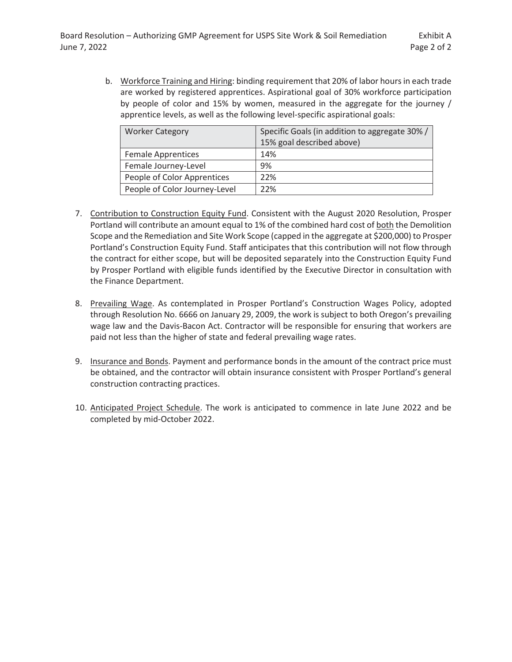b. Workforce Training and Hiring: binding requirement that 20% of labor hours in each trade are worked by registered apprentices. Aspirational goal of 30% workforce participation by people of color and 15% by women, measured in the aggregate for the journey / apprentice levels, as well as the following level-specific aspirational goals:

| <b>Worker Category</b>        | Specific Goals (in addition to aggregate 30%/ |  |
|-------------------------------|-----------------------------------------------|--|
|                               | 15% goal described above)                     |  |
| <b>Female Apprentices</b>     | 14%                                           |  |
| Female Journey-Level          | 9%                                            |  |
| People of Color Apprentices   | 22%                                           |  |
| People of Color Journey-Level | 22%                                           |  |

- 7. Contribution to Construction Equity Fund. Consistent with the August 2020 Resolution, Prosper Portland will contribute an amount equal to 1% of the combined hard cost of both the Demolition Scope and the Remediation and Site Work Scope (capped in the aggregate at \$200,000) to Prosper Portland's Construction Equity Fund. Staff anticipates that this contribution will not flow through the contract for either scope, but will be deposited separately into the Construction Equity Fund by Prosper Portland with eligible funds identified by the Executive Director in consultation with the Finance Department.
- 8. Prevailing Wage. As contemplated in Prosper Portland's Construction Wages Policy, adopted through Resolution No. 6666 on January 29, 2009, the work is subject to both Oregon's prevailing wage law and the Davis-Bacon Act. Contractor will be responsible for ensuring that workers are paid not less than the higher of state and federal prevailing wage rates.
- 9. Insurance and Bonds. Payment and performance bonds in the amount of the contract price must be obtained, and the contractor will obtain insurance consistent with Prosper Portland's general construction contracting practices.
- 10. Anticipated Project Schedule. The work is anticipated to commence in late June 2022 and be completed by mid-October 2022.